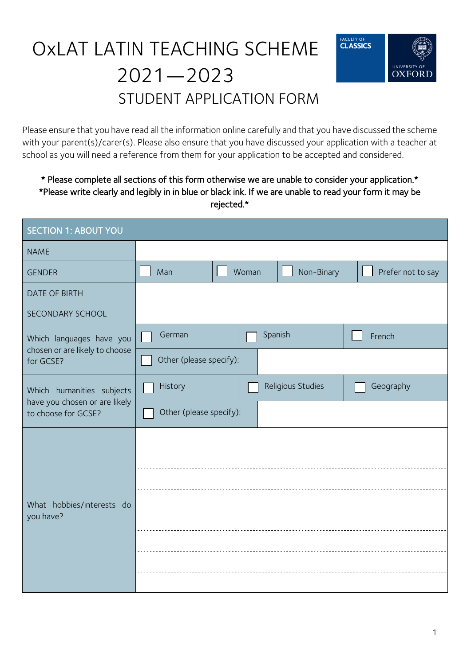# OxLAT LATIN TEACHING SCHEME 2021—2023 STUDENT APPLICATION FORM



Please ensure that you have read all the information online carefully and that you have discussed the scheme with your parent(s)/carer(s). Please also ensure that you have discussed your application with a teacher at school as you will need a reference from them for your application to be accepted and considered.

#### \* Please complete all sections of this form otherwise we are unable to consider your application.\* \*Please write clearly and legibly in in blue or black ink. If we are unable to read your form it may be rejected.\*

| <b>SECTION 1: ABOUT YOU</b>                                                       |                                    |       |                   |                   |
|-----------------------------------------------------------------------------------|------------------------------------|-------|-------------------|-------------------|
| <b>NAME</b>                                                                       |                                    |       |                   |                   |
| <b>GENDER</b>                                                                     | Man                                | Woman | Non-Binary        | Prefer not to say |
| <b>DATE OF BIRTH</b>                                                              |                                    |       |                   |                   |
| SECONDARY SCHOOL                                                                  |                                    |       |                   |                   |
| Which languages have you<br>chosen or are likely to choose<br>for GCSE?           | German<br>Other (please specify):  |       | Spanish           | French            |
| Which humanities subjects<br>have you chosen or are likely<br>to choose for GCSE? | History<br>Other (please specify): |       | Religious Studies | Geography         |
| What hobbies/interests do<br>you have?                                            |                                    |       |                   |                   |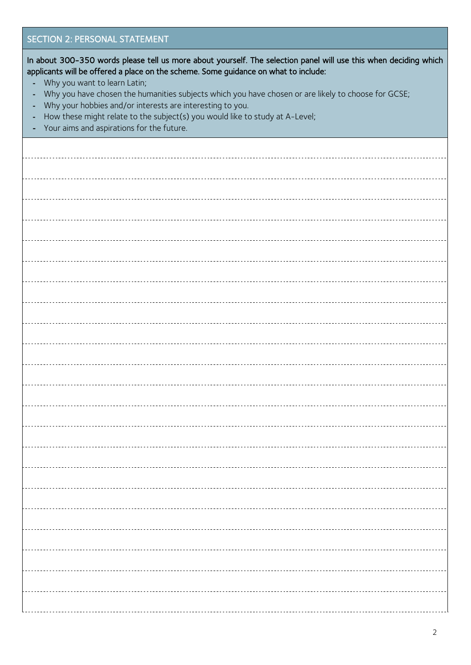| <b>SECTION 2: PERSONAL STATEMENT</b>                                                                                                                                                                                                          |
|-----------------------------------------------------------------------------------------------------------------------------------------------------------------------------------------------------------------------------------------------|
| In about 300-350 words please tell us more about yourself. The selection panel will use this when deciding which<br>applicants will be offered a place on the scheme. Some guidance on what to include:<br>Why you want to learn Latin;<br>÷, |
| Why you have chosen the humanities subjects which you have chosen or are likely to choose for GCSE;<br>$\blacksquare$<br>Why your hobbies and/or interests are interesting to you.<br>$\blacksquare$                                          |
| How these might relate to the subject(s) you would like to study at A-Level;<br>$\blacksquare$<br>Your aims and aspirations for the future.<br>Ξ                                                                                              |
|                                                                                                                                                                                                                                               |
|                                                                                                                                                                                                                                               |
|                                                                                                                                                                                                                                               |
|                                                                                                                                                                                                                                               |
|                                                                                                                                                                                                                                               |
|                                                                                                                                                                                                                                               |
|                                                                                                                                                                                                                                               |
|                                                                                                                                                                                                                                               |
|                                                                                                                                                                                                                                               |
|                                                                                                                                                                                                                                               |
|                                                                                                                                                                                                                                               |
|                                                                                                                                                                                                                                               |
|                                                                                                                                                                                                                                               |
|                                                                                                                                                                                                                                               |
|                                                                                                                                                                                                                                               |
|                                                                                                                                                                                                                                               |
|                                                                                                                                                                                                                                               |
|                                                                                                                                                                                                                                               |
|                                                                                                                                                                                                                                               |
|                                                                                                                                                                                                                                               |
|                                                                                                                                                                                                                                               |
|                                                                                                                                                                                                                                               |
|                                                                                                                                                                                                                                               |
|                                                                                                                                                                                                                                               |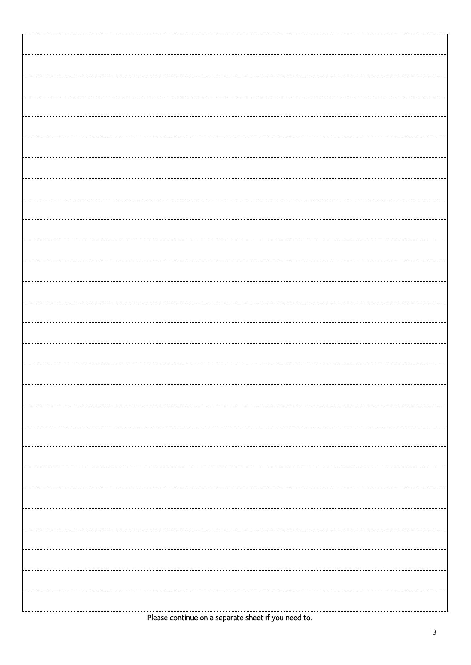| -------------------------- |  |
|----------------------------|--|
|                            |  |
|                            |  |
|                            |  |
|                            |  |
|                            |  |
|                            |  |
|                            |  |
|                            |  |
|                            |  |
|                            |  |
|                            |  |
|                            |  |
|                            |  |
|                            |  |
|                            |  |
|                            |  |
|                            |  |
|                            |  |
|                            |  |
|                            |  |
|                            |  |
|                            |  |
|                            |  |
|                            |  |
|                            |  |
|                            |  |
|                            |  |
|                            |  |
|                            |  |
|                            |  |
|                            |  |
|                            |  |
|                            |  |
|                            |  |
|                            |  |
|                            |  |
|                            |  |
|                            |  |
|                            |  |
|                            |  |
|                            |  |
|                            |  |
|                            |  |
|                            |  |
|                            |  |
|                            |  |
|                            |  |
|                            |  |
|                            |  |
|                            |  |
|                            |  |
|                            |  |
|                            |  |
|                            |  |
|                            |  |
|                            |  |
|                            |  |
|                            |  |
|                            |  |
|                            |  |

Please continue on a separate sheet if you need to.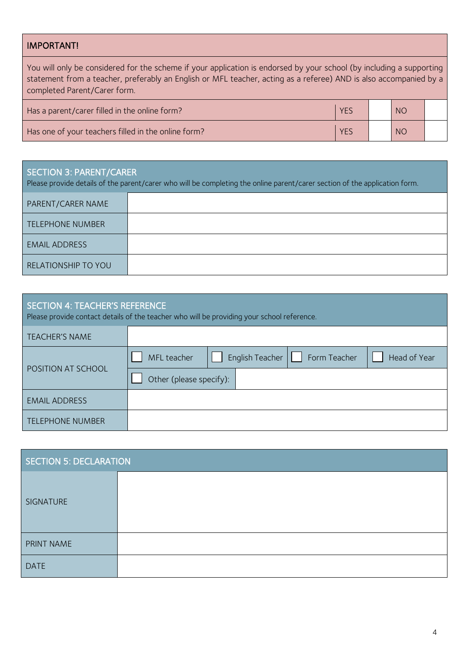### IMPORTANT!

| You will only be considered for the scheme if your application is endorsed by your school (by including a supporting<br>statement from a teacher, preferably an English or MFL teacher, acting as a referee) AND is also accompanied by a<br>completed Parent/Carer form. |            |  |    |  |
|---------------------------------------------------------------------------------------------------------------------------------------------------------------------------------------------------------------------------------------------------------------------------|------------|--|----|--|
| Has a parent/carer filled in the online form?                                                                                                                                                                                                                             | <b>YES</b> |  | NO |  |
| Has one of your teachers filled in the online form?                                                                                                                                                                                                                       | <b>YES</b> |  | NO |  |

## SECTION 3: PARENT/CARER

Please provide details of the parent/carer who will be completing the online parent/carer section of the application form.

| <b>PARENT/CARER NAME</b>   |  |
|----------------------------|--|
| <b>TELEPHONE NUMBER</b>    |  |
| <b>EMAIL ADDRESS</b>       |  |
| <b>RELATIONSHIP TO YOU</b> |  |

| SECTION 4: TEACHER'S REFERENCE<br>Please provide contact details of the teacher who will be providing your school reference. |                                                                               |  |
|------------------------------------------------------------------------------------------------------------------------------|-------------------------------------------------------------------------------|--|
| <b>TEACHER'S NAME</b>                                                                                                        |                                                                               |  |
| POSITION AT SCHOOL                                                                                                           | English Teacher $\lfloor \rfloor$ Form Teacher<br>Head of Year<br>MFL teacher |  |
|                                                                                                                              | Other (please specify):                                                       |  |
| <b>EMAIL ADDRESS</b>                                                                                                         |                                                                               |  |
| <b>TELEPHONE NUMBER</b>                                                                                                      |                                                                               |  |

| <b>SECTION 5: DECLARATION</b> |  |
|-------------------------------|--|
| SIGNATURE                     |  |
| PRINT NAME                    |  |
| <b>DATE</b>                   |  |